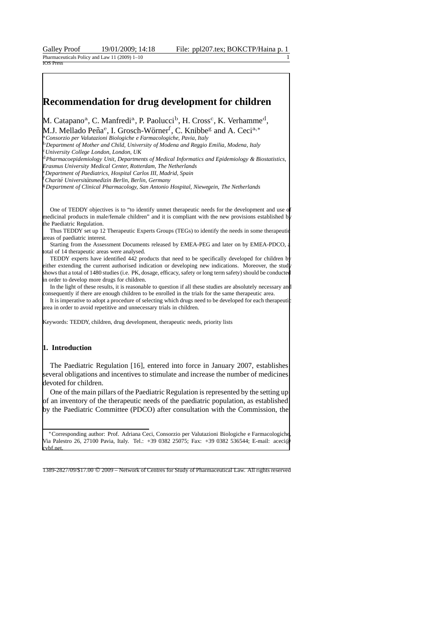Galley Proof 19/01/2009; 14:18 File: ppl207.tex; BOKCTP/Haina p. Pharmaceuticals Policy and Law 11 (2009) 1-10  $105p$ 

# **Recommendation for drug development for children**

M. Catapano<sup>a</sup>, C. Manfredi<sup>a</sup>, P. Paolucci<sup>b</sup>, H. Cross<sup>c</sup>, K. Verhamme<sup>d</sup>, M.J. Mellado Peña<sup>e</sup>, I. Grosch-Wörner<sup>f</sup>, C. Knibbe<sup>g</sup> and A. Ceci<sup>a,∗</sup>

<sup>a</sup>*Consorzio per Valutazioni Biologiche e Farmacologiche, Pavia, Italy*

<sup>b</sup>*Department of Mother and Child, University of Modena and Reggio Emilia, Modena, Italy*

<sup>c</sup>*University College London, London, UK*

<sup>d</sup>*Pharmacoepidemiology Unit, Departments of Medical Informatics and Epidemiology & Biostatistics, Erasmus University Medical Center, Rotterdam, The Netherlands*

<sup>e</sup>*Department of Paediatrics, Hospital Carlos III, Madrid, Spain*

<sup>f</sup>*Charite Universit ´ atsmedizin Berlin, Berlin, Germany ¨*

<sup>g</sup>*Department of Clinical Pharmacology, San Antonio Hospital, Niewegein, The Netherlands*

One of TEDDY objectives is to "to identify unmet therapeutic needs for the development and use of medicinal products in male/female children" and it is compliant with the new provisions established by the Paediatric Regulation.

Thus TEDDY set up 12 Therapeutic Experts Groups (TEGs) to identify the needs in some therapeuti areas of paediatric interest.

Starting from the Assessment Documents released by EMEA-PEG and later on by EMEA-PDCO, total of 14 therapeutic areas were analysed.

TEDDY experts have identified 442 products that need to be specifically developed for children by either extending the current authorised indication or developing new indications. Moreover, the study shows that a total of 1480 studies (i.e. PK, dosage, efficacy, safety or long term safety) should be conducted in order to develop more drugs for children.

In the light of these results, it is reasonable to question if all these studies are absolutely necessary and consequently if there are enough children to be enrolled in the trials for the same therapeutic area.

It is imperative to adopt a procedure of selecting which drugs need to be developed for each therapeutic area in order to avoid repetitive and unnecessary trials in children.

Keywords: TEDDY, children, drug development, therapeutic needs, priority lists

### **1. Introduction**

The Paediatric Regulation [16], entered into force in January 2007, establishes several obligations and incentives to stimulate and increase the number of medicines devoted for children.

One of the main pillars of the Paediatric Regulation is represented by the setting up of an inventory of the therapeutic needs of the paediatric population, as established by the Paediatric Committee (PDCO) after consultation with the Commission, the

∗Corresponding author: Prof. Adriana Ceci, Consorzio per Valutazioni Biologiche e Farmacologiche, Via Palestro 26, 27100 Pavia, Italy. Tel.: +39 0382 25075; Fax: +39 0382 536544; E-mail: aceci@ cvbf.net

1389-2827/09/\$17.00 © 2009 – Network of Centres for Study of Pharmaceutical Law. All rights reserved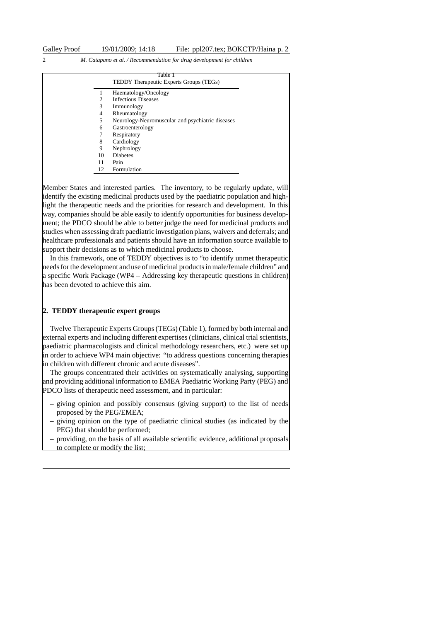|  |  | M. Catapano et al. / Recommendation for drug development for children |
|--|--|-----------------------------------------------------------------------|
|  |  |                                                                       |

|                             | Table 1<br>TEDDY Therapeutic Experts Groups (TEGs) |
|-----------------------------|----------------------------------------------------|
|                             | Haematology/Oncology                               |
| $\mathcal{D}_{\mathcal{L}}$ | <b>Infectious Diseases</b>                         |
| 3                           | Immunology                                         |
| 4                           | Rheumatology                                       |
| 5                           | Neurology-Neuromuscular and psychiatric diseases   |
| 6                           | Gastroenterology                                   |
| 7                           | Respiratory                                        |
| 8                           | Cardiology                                         |
| 9                           | Nephrology                                         |
| 10                          | <b>Diabetes</b>                                    |
| 11                          | Pain                                               |
| 12                          | Formulation                                        |

Member States and interested parties. The inventory, to be regularly update, will identify the existing medicinal products used by the paediatric population and highlight the therapeutic needs and the priorities for research and development. In this way, companies should be able easily to identify opportunities for business development; the PDCO should be able to better judge the need for medicinal products and studies when assessing draft paediatric investigation plans, waivers and deferrals; and healthcare professionals and patients should have an information source available to support their decisions as to which medicinal products to choose.

In this framework, one of TEDDY objectives is to "to identify unmet therapeutic needs for the development and use of medicinal products in male/female children" and a specific Work Package (WP4 – Addressing key therapeutic questions in children) has been devoted to achieve this aim.

## **2. TEDDY therapeutic expert groups**

Twelve Therapeutic Experts Groups (TEGs) (Table 1), formed by both internal and external experts and including different expertises (clinicians, clinical trial scientists, paediatric pharmacologists and clinical methodology researchers, etc.) were set up in order to achieve WP4 main objective: "to address questions concerning therapies in children with different chronic and acute diseases".

The groups concentrated their activities on systematically analysing, supporting and providing additional information to EMEA Paediatric Working Party (PEG) and PDCO lists of therapeutic need assessment, and in particular:

- **–** giving opinion and possibly consensus (giving support) to the list of needs proposed by the PEG/EMEA;
- **–** giving opinion on the type of paediatric clinical studies (as indicated by the PEG) that should be performed;
- **–** providing, on the basis of all available scientific evidence, additional proposals to complete or modify the list;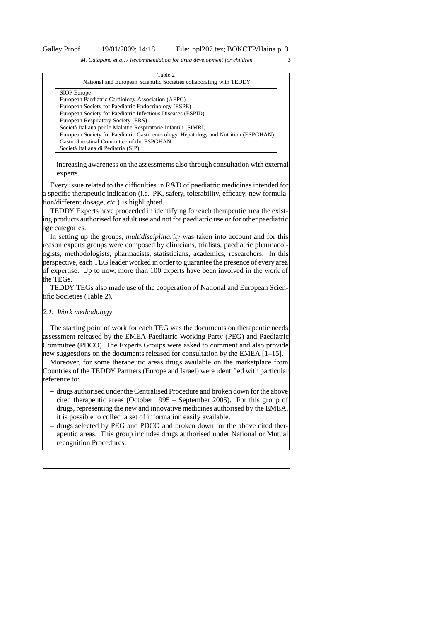|                    | Table 2<br>National and European Scientific Societies collaborating with TEDDY       |
|--------------------|--------------------------------------------------------------------------------------|
| <b>SIOP</b> Europe |                                                                                      |
|                    | European Paediatric Cardiology Association (AEPC)                                    |
|                    | European Society for Paediatric Endocrinology (ESPE)                                 |
|                    | European Society for Paediatric Infectious Diseases (ESPID)                          |
|                    | European Respiratory Society (ERS)                                                   |
|                    | Società Italiana per le Malattie Respiratorie Infantili (SIMRI)                      |
|                    | European Society for Paediatric Gastroenterology, Hepatology and Nutrition (ESPGHAN) |
|                    | Gastro-Intestinal Committee of the ESPGHAN                                           |
|                    | Società Italiana di Pediatria (SIP)                                                  |

**–** increasing awareness on the assessments also through consultation with external experts.

Every issue related to the difficulties in R&D of paediatric medicines intended for a specific therapeutic indication (i.e. PK, safety, tolerability, efficacy, new formulation/different dosage, *etc.*) is highlighted.

TEDDY Experts have proceeded in identifying for each therapeutic area the existing products authorised for adult use and not for paediatric use or for other paediatric age categories.

In setting up the groups, *multidisciplinarity* was taken into account and for this reason experts groups were composed by clinicians, trialists, paediatric pharmacologists, methodologists, pharmacists, statisticians, academics, researchers. In this perspective, each TEG leader worked in order to guarantee the presence of every area of expertise. Up to now, more than 100 experts have been involved in the work of the TEGs.

TEDDY TEGs also made use of the cooperation of National and European Scientific Societies (Table 2).

# *2.1. Work methodology*

The starting point of work for each TEG was the documents on therapeutic needs assessment released by the EMEA Paediatric Working Party (PEG) and Paediatric Committee (PDCO). The Experts Groups were asked to comment and also provide new suggestions on the documents released for consultation by the EMEA [1–15].

Moreover, for some therapeutic areas drugs available on the marketplace from Countries of the TEDDY Partners (Europe and Israel) were identified with particular reference to:

- **–** drugs authorised under the Centralised Procedure and broken down for the above cited therapeutic areas (October 1995 – September 2005). For this group of drugs, representing the new and innovative medicines authorised by the EMEA, it is possible to collect a set of information easily available.
- **–** drugs selected by PEG and PDCO and broken down for the above cited therapeutic areas. This group includes drugs authorised under National or Mutual recognition Procedures.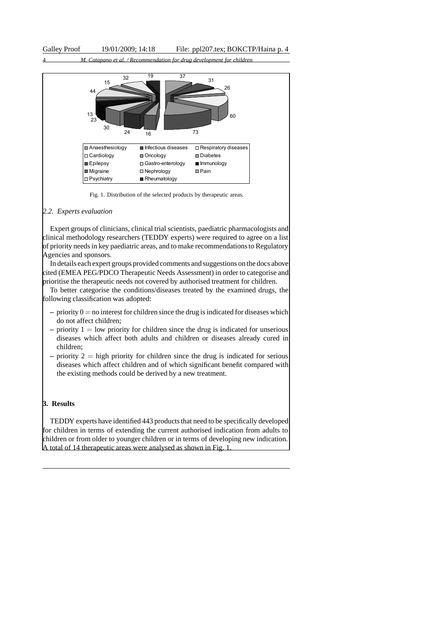

Fig. 1. Distribution of the selected products by therapeutic areas.

## *2.2. Experts evaluation*

Expert groups of clinicians, clinical trial scientists, paediatric pharmacologists and clinical methodology researchers (TEDDY experts) were required to agree on a list of priority needs in key paediatric areas, and to make recommendations to Regulatory Agencies and sponsors.

In details each expert groups provided comments and suggestions on the docs above cited (EMEA PEG/PDCO Therapeutic Needs Assessment) in order to categorise and prioritise the therapeutic needs not covered by authorised treatment for children.

To better categorise the conditions/diseases treated by the examined drugs, the following classification was adopted:

- $-$  priority  $0 =$  no interest for children since the drug is indicated for diseases which do not affect children;
- $\alpha$  priority  $1 =$  low priority for children since the drug is indicated for unserious diseases which affect both adults and children or diseases already cured in children;
- **–** priority 2 = high priority for children since the drug is indicated for serious diseases which affect children and of which significant benefit compared with the existing methods could be derived by a new treatment.

## **3. Results**

TEDDY experts have identified 443 products that need to be specifically developed for children in terms of extending the current authorised indication from adults to children or from older to younger children or in terms of developing new indication. A total of 14 therapeutic areas were analysed as shown in Fig. 1.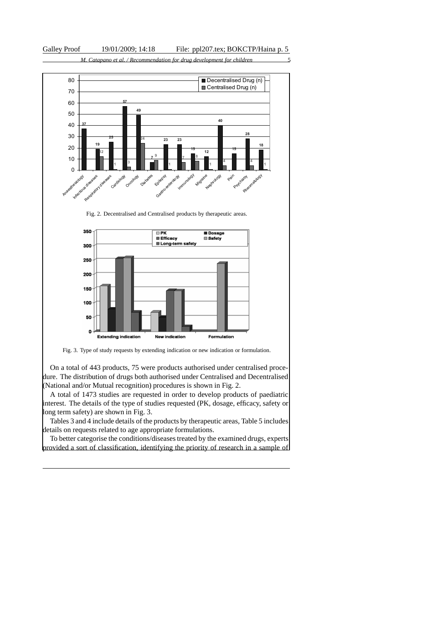

Fig. 3. Type of study requests by extending indication or new indication or formulation.

New indication

Formulation

**Extending indication** 

On a total of 443 products, 75 were products authorised under centralised procedure. The distribution of drugs both authorised under Centralised and Decentralised (National and/or Mutual recognition) procedures is shown in Fig. 2.

A total of 1473 studies are requested in order to develop products of paediatric interest. The details of the type of studies requested (PK, dosage, efficacy, safety or long term safety) are shown in Fig. 3.

Tables 3 and 4 include details of the products by therapeutic areas, Table 5 includes details on requests related to age appropriate formulations.

To better categorise the conditions/diseases treated by the examined drugs, experts provided a sort of classification, identifying the priority of research in a sample of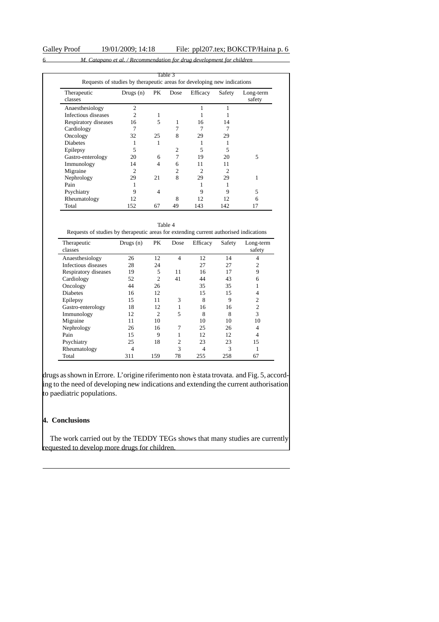| Therapeutic<br>classes | Drugs $(n)$    | PK.            | Dose           | Efficacy       | Safety         | Long-term<br>safety |
|------------------------|----------------|----------------|----------------|----------------|----------------|---------------------|
| Anaesthesiology        | $\overline{c}$ |                |                | 1              |                |                     |
| Infectious diseases    | 2              | 1              |                |                |                |                     |
| Respiratory diseases   | 16             | 5              | 1              | 16             | 14             |                     |
| Cardiology             |                |                |                |                |                |                     |
| Oncology               | 32             | 25             | 8              | 29             | 29             |                     |
| <b>Diabetes</b>        |                |                |                |                |                |                     |
| Epilepsy               | 5              |                | $\overline{c}$ | 5              | 5              |                     |
| Gastro-enterology      | 20             | 6              | 7              | 19             | 20             | 5                   |
| Immunology             | 14             | $\overline{4}$ | 6              | 11             | 11             |                     |
| Migraine               | 2              |                | 2              | $\overline{c}$ | $\mathfrak{D}$ |                     |
| Nephrology             | 29             | 21             | 8              | 29             | 29             | 1                   |
| Pain                   |                |                |                |                |                |                     |
| Psychiatry             | 9              | $\overline{4}$ |                | 9              | 9              | 5                   |
| Rheumatology           | 12             |                | 8              | 12             | 12             | 6                   |
| Total                  | 152            | 67             | 49             | 143            | 142            | 17                  |

| Table 4<br>Requests of studies by therapeutic areas for extending current authorised indications |                |                |                |                |        |                     |
|--------------------------------------------------------------------------------------------------|----------------|----------------|----------------|----------------|--------|---------------------|
| Therapeutic<br>classes                                                                           | Drugs $(n)$    | PК             | Dose           | Efficacy       | Safety | Long-term<br>safety |
| Anaesthesiology                                                                                  | 26             | 12             | 4              | 12             | 14     | $\overline{4}$      |
| Infectious diseases                                                                              | 28             | 24             |                | 27             | 27     | 2                   |
| Respiratory diseases                                                                             | 19             | 5              | 11             | 16             | 17     | 9                   |
| Cardiology                                                                                       | 52             | $\overline{c}$ | 41             | 44             | 43     | 6                   |
| Oncology                                                                                         | 44             | 26             |                | 35             | 35     |                     |
| <b>Diabetes</b>                                                                                  | 16             | 12             |                | 15             | 15     | 4                   |
| Epilepsy                                                                                         | 15             | 11             | 3              | 8              | 9      | $\overline{c}$      |
| Gastro-enterology                                                                                | 18             | 12             | 1              | 16             | 16     | 2                   |
| Immunology                                                                                       | 12             | $\overline{c}$ | 5              | 8              | 8      | 3                   |
| Migraine                                                                                         | 11             | 10             |                | 10             | 10     | 10                  |
| Nephrology                                                                                       | 26             | 16             | 7              | 25             | 26     | 4                   |
| Pain                                                                                             | 15             | 9              |                | 12             | 12     | 4                   |
| Psychiatry                                                                                       | 25             | 18             | $\overline{c}$ | 23             | 23     | 15                  |
| Rheumatology                                                                                     | $\overline{4}$ |                | 3              | $\overline{4}$ | 3      |                     |
| Total                                                                                            | 311            | 159            | 78             | 255            | 258    | 67                  |

drugs as shown in Errore. L'origine riferimento non è stata trovata. and Fig. 5, according to the need of developing new indications and extending the current authorisation to paediatric populations.

# **4. Conclusions**

The work carried out by the TEDDY TEGs shows that many studies are currently requested to develop more drugs for children.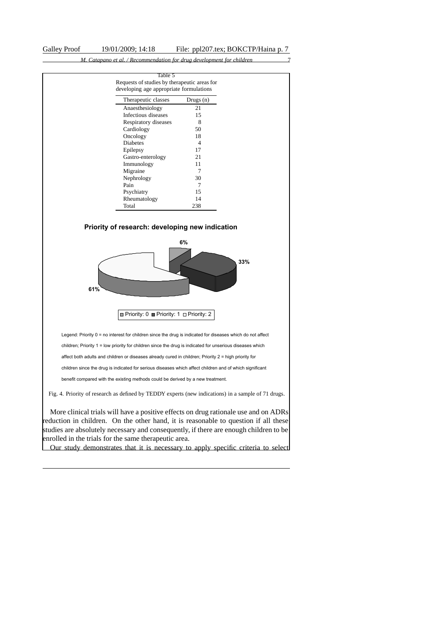

Our study demonstrates that it is necessary to apply specific criteria to select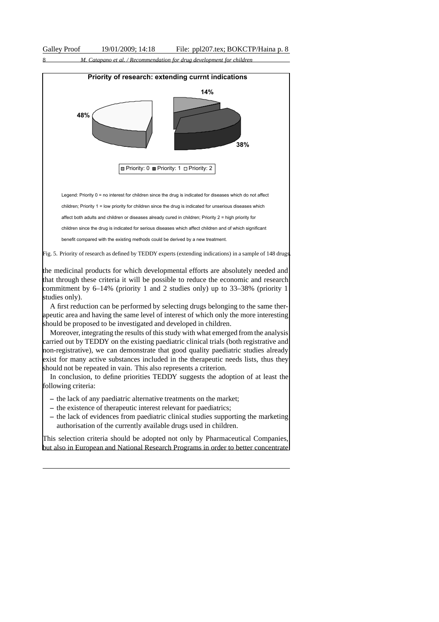



This selection criteria should be adopted not only by Pharmaceutical Companies, but also in European and National Research Programs in order to better concentrate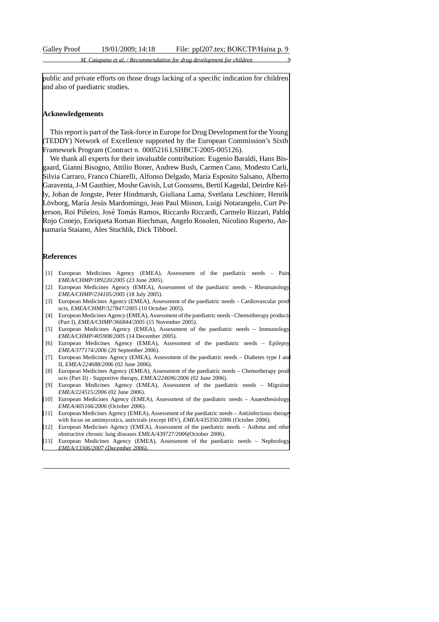public and private efforts on those drugs lacking of a specific indication for children and also of paediatric studies.

### **Acknowledgements**

This report is part of the Task-force in Europe for Drug Development for the Young (TEDDY) Network of Excellence supported by the European Commission's Sixth Framework Program (Contract n. 0005216 LSHBCT-2005-005126).

We thank all experts for their invaluable contribution: Eugenio Baraldi, Hans Bisgaard, Gianni Bisogno, Attilio Boner, Andrew Bush, Carmen Cano, Modesto Carli, Silvia Carraro, Franco Chiarelli, Alfonso Delgado, Maria Esposito Salsano, Alberto Garaventa, J-M Gauthier, Moshe Gavish, Lut Goossens, Bertil Kagedal, Deirdre Kelly, Johan de Jongste, Peter Hindmarsh, Giuliana Lama, Svetlana Leschiner, Henrik Lövborg, María Jesús Mardomingo, Jean Paul Misson, Luigi Notarangelo, Curt Peterson, Roi Piñeiro, José Tomás Ramos, Riccardo Riccardi, Carmelo Rizzari, Pablo Rojo Conejo, Enriqueta Roman Riechman, Angelo Rosolen, Nicolino Ruperto, Annamaria Staiano, Ales Stuchlik, Dick Tibboel.

### **References**

- [1] European Medicines Agency (EMEA), Assessment of the paediatric needs Pain *EMEA/CHMP/189220/2005* (23 June 2005).
- [2] European Medicines Agency (EMEA), Assessment of the paediatric needs Rheumatology, *EMEA/CHMP/234105/2005* (18 July 2005).
- [3] European Medicines Agency (EMEA), Assessment of the paediatric needs Cardiovascular products, *EMEA/CHMP/327847/2005* (10 October 2005).
- [4] European Medicines Agency (EMEA), Assessment of the paediatric needs Chemotherapy product (Part I), *EMEA/CHMP/366844/2005* (15 November 2005).
- [5] European Medicines Agency (EMEA), Assessment of the paediatric needs Immunology, *EMEA/CHMP/405908/2005* (14 December 2005).
- [6] European Medicines Agency (EMEA), Assessment of the paediatric needs Epilepsy, *EMEA/377174/2006* (20 September 2006).
- [7] European Medicines Agency (EMEA), Assessment of the paediatric needs Diabetes type I and II, *EMEA/224688/2006* (02 June 2006).
- [8] European Medicines Agency (EMEA), Assessment of the paediatric needs Chemotherapy products (Part II) - Supportive therapy, *EMEA/224696/2006* (02 June 2006).
- [9] European Medicines Agency (EMEA), Assessment of the paediatric needs Migraine *EMEA/224515/2006* (02 June 2006).
- [10] European Medicines Agency (EMEA), Assessment of the paediatric needs Anaesthesiology, *EMEA/405166/2006* (October 2006).
- [11] European Medicines Agency (EMEA), Assessment of the paediatric needs Antiinfectious therap with focus on antimycotics, antivirals (except HIV), *EMEA/435350/2006* (October 2006).
- [12] European Medicines Agency (EMEA), Assessment of the paediatric needs Asthma and other obstructive chronic lung diseases EMEA/439727/2006(October 2006).
- [13] European Medicines Agency (EMEA), Assessment of the paediatric needs Nephrology, *EMEA/13306/2007* (December 2006).